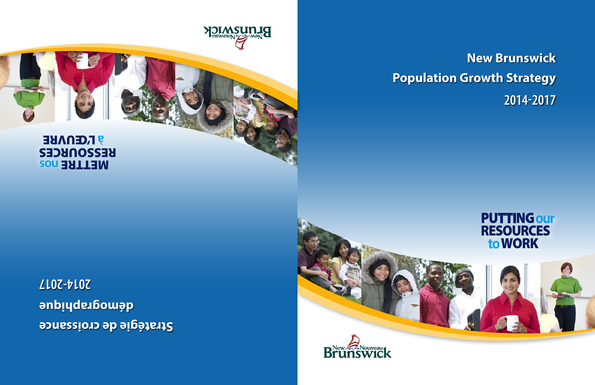**New Brunswick Population Growth Strategy 2014-2017**



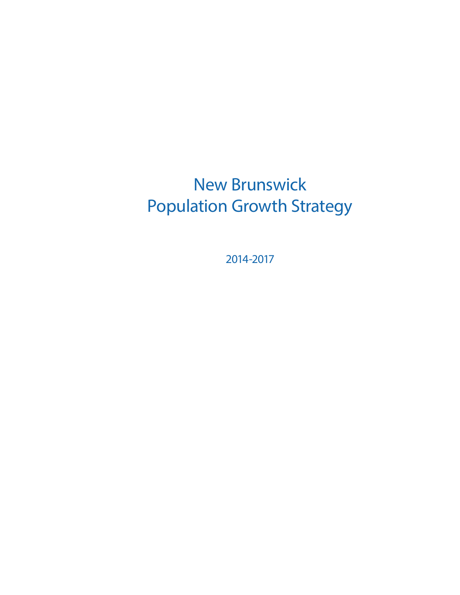## New Brunswick Population Growth Strategy

2014-2017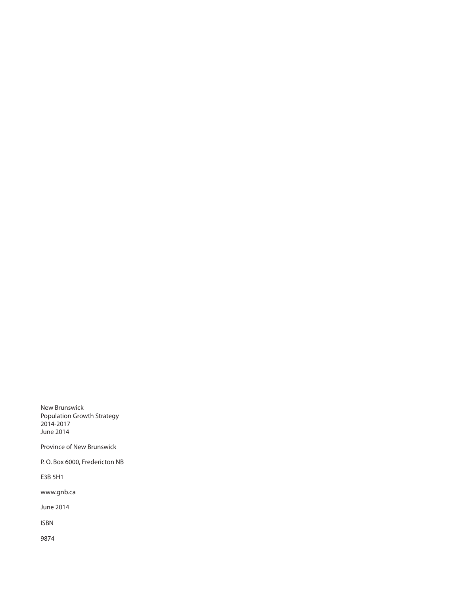New Brunswick Population Growth Strategy 2014-2017 June 2014

Province of New Brunswick

P. O. Box 6000, Fredericton NB

E3B 5H1

[www.gnb.c](http://www.gnb.ca)a

June 2014

ISBN

9874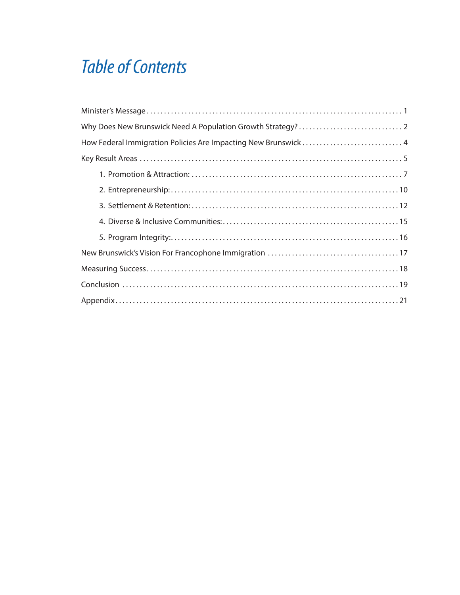### *Table of Contents*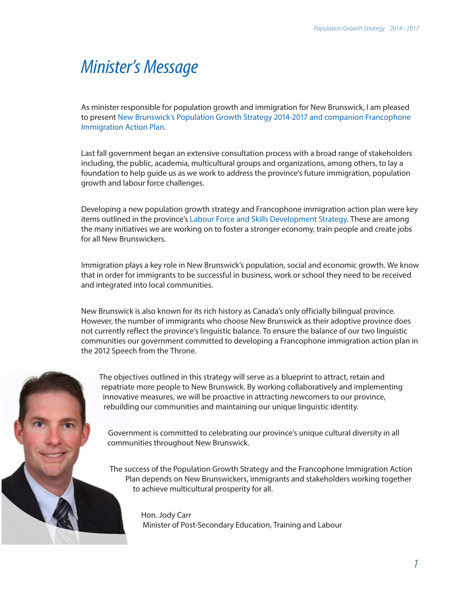### <span id="page-6-0"></span>*Minister's Message*

As minister responsible for population growth and immigration for New Brunswick, I am pleased to present New Brunswick's Population Growth Strategy 2014-2017 and companion Francophone Immigration Action Plan.

Last fall government began an extensive consultation process with a broad range of stakeholders including, the public, academia, multicultural groups and organizations, among others, to lay a foundation to help guide us as we work to address the province's future immigration, population growth and labour force challenges.

Developing a new population growth strategy and Francophone immigration action plan were key items outlined in the province's Labour Force and Skills Development Strategy. These are among the many initiatives we are working on to foster a stronger economy, train people and create jobs for all New Brunswickers.

Immigration plays a key role in New Brunswick's population, social and economic growth. We know that in order for immigrants to be successful in business, work or school they need to be received and integrated into local communities.

New Brunswick is also known for its rich history as Canada's only officially bilingual province. However, the number of immigrants who choose New Brunswick as their adoptive province does not currently reflect the province's linguistic balance. To ensure the balance of our two linguistic communities our government committed to developing a Francophone immigration action plan in the 2012 Speech from the Throne.

The objectives outlined in this strategy will serve as a blueprint to attract, retain and repatriate more people to New Brunswick. By working collaboratively and implementing innovative measures, we will be proactive in attracting newcomers to our province, rebuilding our communities and maintaining our unique linguistic identity.

Government is committed to celebrating our province's unique cultural diversity in all communities throughout New Brunswick.

The success of the Population Growth Strategy and the Francophone Immigration Action Plan depends on New Brunswickers, immigrants and stakeholders working together to achieve multicultural prosperity for all.

> Hon. Jody Carr Minister of Post-Secondary Education, Training and Labour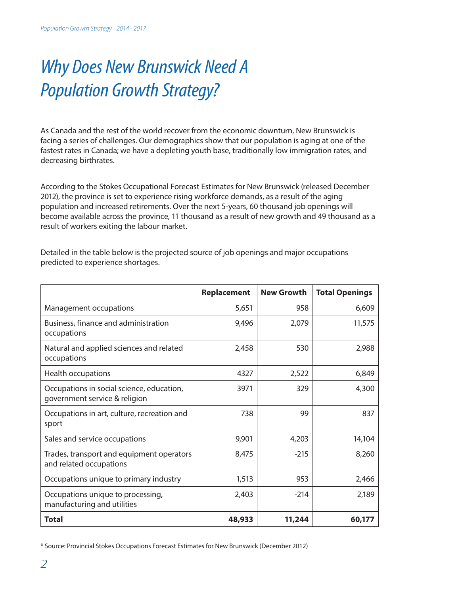# <span id="page-7-0"></span>*Why Does New Brunswick Need A Population Growth Strategy?*

As Canada and the rest of the world recover from the economic downturn, New Brunswick is facing a series of challenges. Our demographics show that our population is aging at one of the fastest rates in Canada; we have a depleting youth base, traditionally low immigration rates, and decreasing birthrates.

According to the Stokes Occupational Forecast Estimates for New Brunswick (released December 2012), the province is set to experience rising workforce demands, as a result of the aging population and increased retirements. Over the next 5-years, 60 thousand job openings will become available across the province, 11 thousand as a result of new growth and 49 thousand as a result of workers exiting the labour market.

|                                                                            | Replacement | <b>New Growth</b> | <b>Total Openings</b> |
|----------------------------------------------------------------------------|-------------|-------------------|-----------------------|
| Management occupations                                                     | 5,651       | 958               | 6,609                 |
| Business, finance and administration<br>occupations                        | 9,496       | 2,079             | 11,575                |
| Natural and applied sciences and related<br>occupations                    | 2,458       | 530               | 2,988                 |
| Health occupations                                                         | 4327        | 2,522             | 6,849                 |
| Occupations in social science, education,<br>government service & religion | 3971        | 329               | 4,300                 |
| Occupations in art, culture, recreation and<br>sport                       | 738         | 99                | 837                   |
| Sales and service occupations                                              | 9,901       | 4,203             | 14,104                |
| Trades, transport and equipment operators<br>and related occupations       | 8,475       | $-215$            | 8,260                 |
| Occupations unique to primary industry                                     | 1,513       | 953               | 2,466                 |
| Occupations unique to processing,<br>manufacturing and utilities           | 2,403       | $-214$            | 2,189                 |
| <b>Total</b>                                                               | 48,933      | 11,244            | 60,177                |

Detailed in the table below is the projected source of job openings and major occupations predicted to experience shortages.

<sup>\*</sup> Source: Provincial Stokes Occupations Forecast Estimates for New Brunswick (December 2012)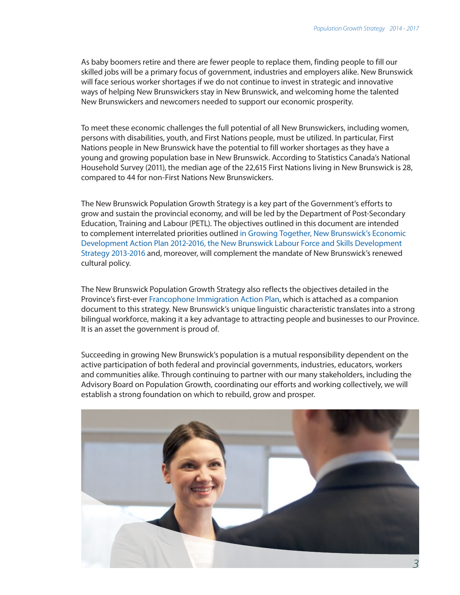As baby boomers retire and there are fewer people to replace them, finding people to fill our skilled jobs will be a primary focus of government, industries and employers alike. New Brunswick will face serious worker shortages if we do not continue to invest in strategic and innovative ways of helping New Brunswickers stay in New Brunswick, and welcoming home the talented New Brunswickers and newcomers needed to support our economic prosperity.

To meet these economic challenges the full potential of all New Brunswickers, including women, persons with disabilities, youth, and First Nations people, must be utilized. In particular, First Nations people in New Brunswick have the potential to fill worker shortages as they have a young and growing population base in New Brunswick. According to Statistics Canada's National Household Survey (2011), the median age of the 22,615 First Nations living in New Brunswick is 28, compared to 44 for non-First Nations New Brunswickers.

The New Brunswick Population Growth Strategy is a key part of the Government's efforts to grow and sustain the provincial economy, and will be led by the Department of Post-Secondary Education, Training and Labour (PETL). The objectives outlined in this document are intended to complement interrelated priorities outlined [in Growing Together, New Brunswick's Economic](http://www2.gnb.ca/content/dam/gnb/Departments/petl-epft/PDF/LabourForceAndSkillsDevelopmentStrategy.pdf)  [Development Action Plan 2012-2016, the New Brunswick Labour Force and Skills Development](http://www2.gnb.ca/content/dam/gnb/Departments/petl-epft/PDF/LabourForceAndSkillsDevelopmentStrategy.pdf)  [Strategy 2013-2016](http://www2.gnb.ca/content/dam/gnb/Departments/petl-epft/PDF/LabourForceAndSkillsDevelopmentStrategy.pdf) and, moreover, will complement the mandate of New Brunswick's renewed cultural policy.

The New Brunswick Population Growth Strategy also reflects the objectives detailed in the Province's first-ever Francophone Immigration Action Plan, which is attached as a companion document to this strategy. New Brunswick's unique linguistic characteristic translates into a strong bilingual workforce, making it a key advantage to attracting people and businesses to our Province. It is an asset the government is proud of.

Succeeding in growing New Brunswick's population is a mutual responsibility dependent on the active participation of both federal and provincial governments, industries, educators, workers and communities alike. Through continuing to partner with our many stakeholders, including the Advisory Board on Population Growth, coordinating our efforts and working collectively, we will establish a strong foundation on which to rebuild, grow and prosper.

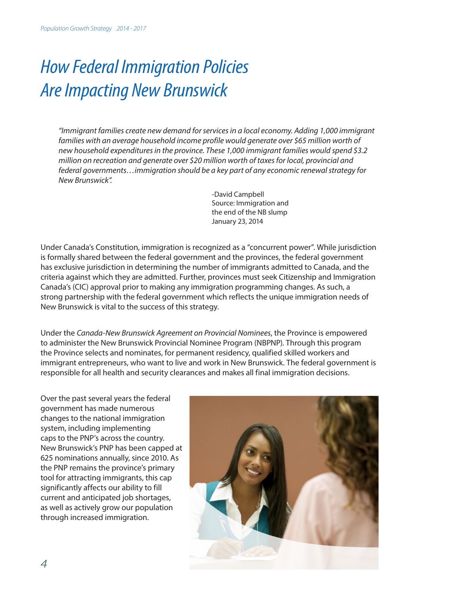# <span id="page-9-0"></span>*How Federal Immigration Policies Are Impacting New Brunswick*

*"Immigrant families create new demand for services in a local economy. Adding 1,000 immigrant*  families with an average household income profile would generate over \$65 million worth of *new household expenditures in the province. These 1,000 immigrant families would spend \$3.2 million on recreation and generate over \$20 million worth of taxes for local, provincial and federal governments…immigration should be a key part of any economic renewal strategy for New Brunswick".*

> -David Campbell Source: Immigration and the end of the NB slump January 23, 2014

Under Canada's Constitution, immigration is recognized as a "concurrent power". While jurisdiction is formally shared between the federal government and the provinces, the federal government has exclusive jurisdiction in determining the number of immigrants admitted to Canada, and the criteria against which they are admitted. Further, provinces must seek Citizenship and Immigration Canada's (CIC) approval prior to making any immigration programming changes. As such, a strong partnership with the federal government which reflects the unique immigration needs of New Brunswick is vital to the success of this strategy.

Under the *Canada-New Brunswick Agreement on Provincial Nominees*, the Province is empowered to administer the New Brunswick Provincial Nominee Program (NBPNP). Through this program the Province selects and nominates, for permanent residency, qualified skilled workers and immigrant entrepreneurs, who want to live and work in New Brunswick. The federal government is responsible for all health and security clearances and makes all final immigration decisions.

Over the past several years the federal government has made numerous changes to the national immigration system, including implementing caps to the PNP's across the country. New Brunswick's PNP has been capped at 625 nominations annually, since 2010. As the PNP remains the province's primary tool for attracting immigrants, this cap significantly affects our ability to fill current and anticipated job shortages, as well as actively grow our population through increased immigration.

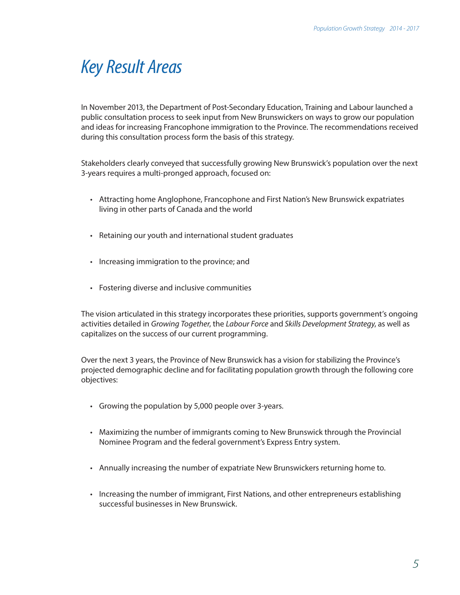### <span id="page-10-0"></span>*Key Result Areas*

In November 2013, the Department of Post-Secondary Education, Training and Labour launched a public consultation process to seek input from New Brunswickers on ways to grow our population and ideas for increasing Francophone immigration to the Province. The recommendations received during this consultation process form the basis of this strategy.

Stakeholders clearly conveyed that successfully growing New Brunswick's population over the next 3-years requires a multi-pronged approach, focused on:

- Attracting home Anglophone, Francophone and First Nation's New Brunswick expatriates living in other parts of Canada and the world
- Retaining our youth and international student graduates
- Increasing immigration to the province; and
- Fostering diverse and inclusive communities

The vision articulated in this strategy incorporates these priorities, supports government's ongoing activities detailed in *Growing Together*, the *Labour Force* and *Skills Development Strategy*, as well as capitalizes on the success of our current programming.

Over the next 3 years, the Province of New Brunswick has a vision for stabilizing the Province's projected demographic decline and for facilitating population growth through the following core objectives:

- Growing the population by 5,000 people over 3-years.
- Maximizing the number of immigrants coming to New Brunswick through the Provincial Nominee Program and the federal government's Express Entry system.
- Annually increasing the number of expatriate New Brunswickers returning home to.
- Increasing the number of immigrant, First Nations, and other entrepreneurs establishing successful businesses in New Brunswick.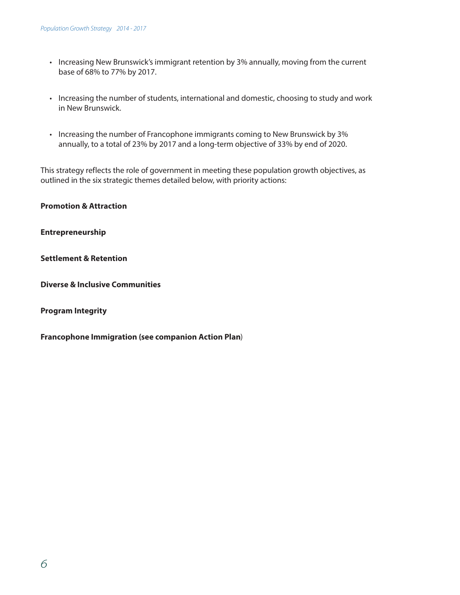- Increasing New Brunswick's immigrant retention by 3% annually, moving from the current base of 68% to 77% by 2017.
- Increasing the number of students, international and domestic, choosing to study and work in New Brunswick.
- Increasing the number of Francophone immigrants coming to New Brunswick by 3% annually, to a total of 23% by 2017 and a long-term objective of 33% by end of 2020.

This strategy reflects the role of government in meeting these population growth objectives, as outlined in the six strategic themes detailed below, with priority actions:

**Promotion & Attraction**

**Entrepreneurship**

**Settlement & Retention**

**Diverse & Inclusive Communities**

**Program Integrity**

**Francophone Immigration (see companion Action Plan**)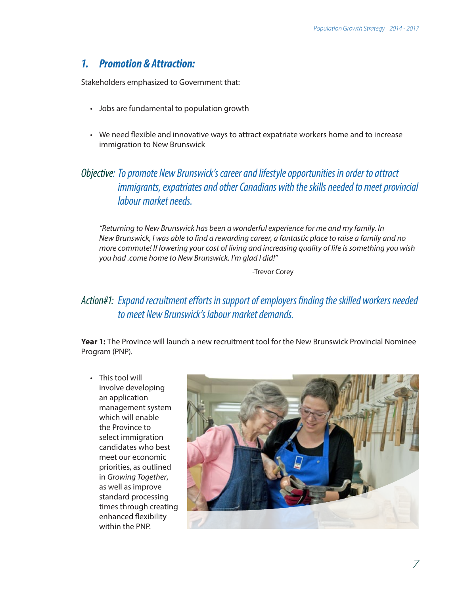#### <span id="page-12-0"></span>*1. Promotion & Attraction:*

Stakeholders emphasized to Government that:

- Jobs are fundamental to population growth
- We need flexible and innovative ways to attract expatriate workers home and to increase immigration to New Brunswick

#### *Objective: To promote New Brunswick's career and lifestyle opportunities in order to attract immigrants, expatriates and other Canadians with the skills needed to meet provincial labour market needs.*

*"Returning to New Brunswick has been a wonderful experience for me and my family. In New Brunswick, I was able to find a rewarding career, a fantastic place to raise a family and no more commute! If lowering your cost of living and increasing quality of life is something you wish you had .come home to New Brunswick. I'm glad I did!"*

-Trevor Corey

#### *Action#1: Expand recruitment efforts in support of employers finding the skilled workers needed to meet New Brunswick's labour market demands.*

**Year 1:** The Province will launch a new recruitment tool for the New Brunswick Provincial Nominee Program (PNP).

• This tool will involve developing an application management system which will enable the Province to select immigration candidates who best meet our economic priorities, as outlined in *Growing Together*, as well as improve standard processing times through creating enhanced flexibility within the PNP.

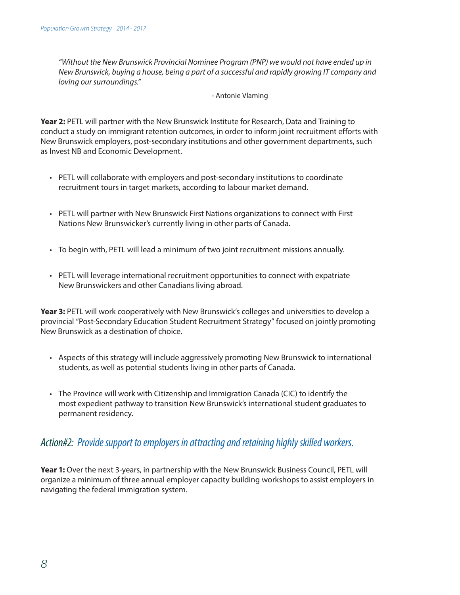*"Without the New Brunswick Provincial Nominee Program (PNP) we would not have ended up in New Brunswick, buying a house, being a part of a successful and rapidly growing IT company and loving our surroundings."*

#### - Antonie Vlaming

**Year 2:** PETL will partner with the New Brunswick Institute for Research, Data and Training to conduct a study on immigrant retention outcomes, in order to inform joint recruitment efforts with New Brunswick employers, post-secondary institutions and other government departments, such as Invest NB and Economic Development.

- PETL will collaborate with employers and post-secondary institutions to coordinate recruitment tours in target markets, according to labour market demand.
- PETL will partner with New Brunswick First Nations organizations to connect with First Nations New Brunswicker's currently living in other parts of Canada.
- To begin with, PETL will lead a minimum of two joint recruitment missions annually.
- PETL will leverage international recruitment opportunities to connect with expatriate New Brunswickers and other Canadians living abroad.

**Year 3:** PETL will work cooperatively with New Brunswick's colleges and universities to develop a provincial "Post-Secondary Education Student Recruitment Strategy" focused on jointly promoting New Brunswick as a destination of choice.

- Aspects of this strategy will include aggressively promoting New Brunswick to international students, as well as potential students living in other parts of Canada.
- The Province will work with Citizenship and Immigration Canada (CIC) to identify the most expedient pathway to transition New Brunswick's international student graduates to permanent residency.

#### *Action#2: Provide support to employers in attracting and retaining highly skilled workers.*

**Year 1:** Over the next 3-years, in partnership with the New Brunswick Business Council, PETL will organize a minimum of three annual employer capacity building workshops to assist employers in navigating the federal immigration system.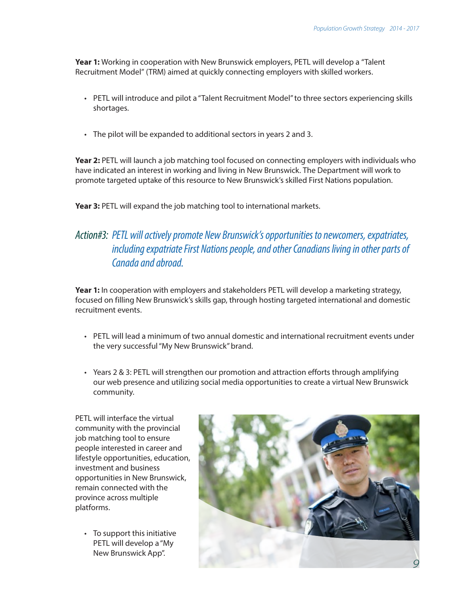Year 1: Working in cooperation with New Brunswick employers, PETL will develop a "Talent Recruitment Model" (TRM) aimed at quickly connecting employers with skilled workers.

- PETL will introduce and pilot a "Talent Recruitment Model" to three sectors experiencing skills shortages.
- The pilot will be expanded to additional sectors in years 2 and 3.

**Year 2:** PETL will launch a job matching tool focused on connecting employers with individuals who have indicated an interest in working and living in New Brunswick. The Department will work to promote targeted uptake of this resource to New Brunswick's skilled First Nations population.

Year 3: PETL will expand the job matching tool to international markets.

#### *Action#3: PETL will actively promote New Brunswick's opportunities to newcomers, expatriates, including expatriate First Nations people, and other Canadians living in other parts of Canada and abroad.*

**Year 1:** In cooperation with employers and stakeholders PETL will develop a marketing strategy, focused on filling New Brunswick's skills gap, through hosting targeted international and domestic recruitment events.

- PETL will lead a minimum of two annual domestic and international recruitment events under the very successful "My New Brunswick" brand.
- Years 2 & 3: PETL will strengthen our promotion and attraction efforts through amplifying our web presence and utilizing social media opportunities to create a virtual New Brunswick community.

PETL will interface the virtual community with the provincial job matching tool to ensure people interested in career and lifestyle opportunities, education, investment and business opportunities in New Brunswick, remain connected with the province across multiple platforms.

• To support this initiative PETL will develop a "My New Brunswick App".

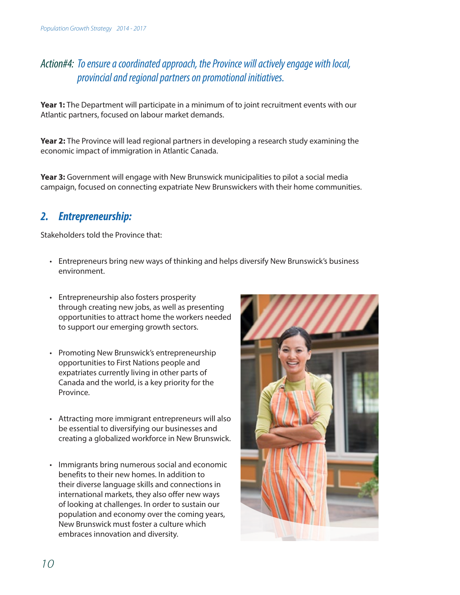### <span id="page-15-0"></span>*Action#4: To ensure a coordinated approach, the Province will actively engage with local, provincial and regional partners on promotional initiatives.*

**Year 1:** The Department will participate in a minimum of to joint recruitment events with our Atlantic partners, focused on labour market demands.

**Year 2:** The Province will lead regional partners in developing a research study examining the economic impact of immigration in Atlantic Canada.

**Year 3:** Government will engage with New Brunswick municipalities to pilot a social media campaign, focused on connecting expatriate New Brunswickers with their home communities.

#### *2. Entrepreneurship:*

Stakeholders told the Province that:

- Entrepreneurs bring new ways of thinking and helps diversify New Brunswick's business environment.
- Entrepreneurship also fosters prosperity through creating new jobs, as well as presenting opportunities to attract home the workers needed to support our emerging growth sectors.
- Promoting New Brunswick's entrepreneurship opportunities to First Nations people and expatriates currently living in other parts of Canada and the world, is a key priority for the Province.
- Attracting more immigrant entrepreneurs will also be essential to diversifying our businesses and creating a globalized workforce in New Brunswick.
- Immigrants bring numerous social and economic benefits to their new homes. In addition to their diverse language skills and connections in international markets, they also offer new ways of looking at challenges. In order to sustain our population and economy over the coming years, New Brunswick must foster a culture which embraces innovation and diversity.

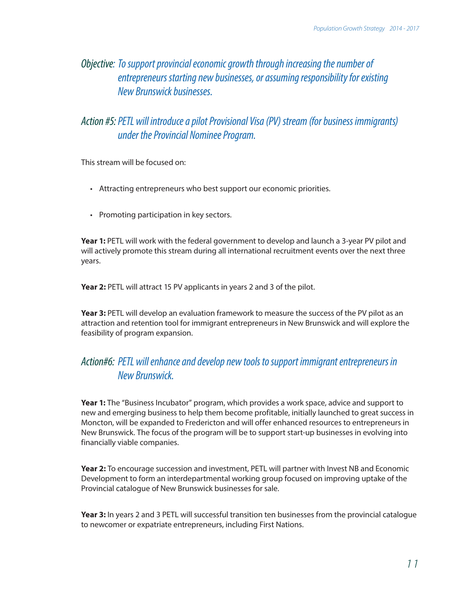#### *Objective: To support provincial economic growth through increasing the number of entrepreneurs starting new businesses, or assuming responsibility for existing New Brunswick businesses.*

#### *Action #5:PETL will introduce a pilot Provisional Visa (PV) stream (for business immigrants) under the Provincial Nominee Program.*

This stream will be focused on:

- Attracting entrepreneurs who best support our economic priorities.
- Promoting participation in key sectors.

**Year 1:** PETL will work with the federal government to develop and launch a 3-year PV pilot and will actively promote this stream during all international recruitment events over the next three years.

Year 2: PETL will attract 15 PV applicants in years 2 and 3 of the pilot.

Year 3: PETL will develop an evaluation framework to measure the success of the PV pilot as an attraction and retention tool for immigrant entrepreneurs in New Brunswick and will explore the feasibility of program expansion.

#### *Action#6: PETL will enhance and develop new tools to support immigrant entrepreneurs in New Brunswick.*

**Year 1:** The "Business Incubator" program, which provides a work space, advice and support to new and emerging business to help them become profitable, initially launched to great success in Moncton, will be expanded to Fredericton and will offer enhanced resources to entrepreneurs in New Brunswick. The focus of the program will be to support start-up businesses in evolving into financially viable companies.

**Year 2:** To encourage succession and investment, PETL will partner with Invest NB and Economic Development to form an interdepartmental working group focused on improving uptake of the Provincial catalogue of New Brunswick businesses for sale.

**Year 3:** In years 2 and 3 PETL will successful transition ten businesses from the provincial catalogue to newcomer or expatriate entrepreneurs, including First Nations.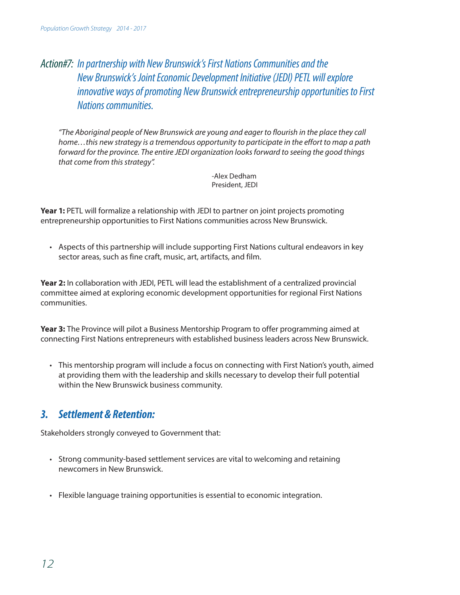### <span id="page-17-0"></span>*Action#7: In partnership with New Brunswick's First Nations Communities and the New Brunswick's Joint Economic Development Initiative (JEDI) PETL will explore innovative ways of promoting New Brunswick entrepreneurship opportunities to First Nations communities.*

*"The Aboriginal people of New Brunswick are young and eager to flourish in the place they call home…this new strategy is a tremendous opportunity to participate in the effort to map a path forward for the province. The entire JEDI organization looks forward to seeing the good things that come from this strategy".*

> -Alex Dedham President, JEDI

Year 1: PETL will formalize a relationship with JEDI to partner on joint projects promoting entrepreneurship opportunities to First Nations communities across New Brunswick.

• Aspects of this partnership will include supporting First Nations cultural endeavors in key sector areas, such as fine craft, music, art, artifacts, and film.

**Year 2:** In collaboration with JEDI, PETL will lead the establishment of a centralized provincial committee aimed at exploring economic development opportunities for regional First Nations communities.

**Year 3:** The Province will pilot a Business Mentorship Program to offer programming aimed at connecting First Nations entrepreneurs with established business leaders across New Brunswick.

• This mentorship program will include a focus on connecting with First Nation's youth, aimed at providing them with the leadership and skills necessary to develop their full potential within the New Brunswick business community.

#### *3. Settlement & Retention:*

Stakeholders strongly conveyed to Government that:

- Strong community-based settlement services are vital to welcoming and retaining newcomers in New Brunswick.
- Flexible language training opportunities is essential to economic integration.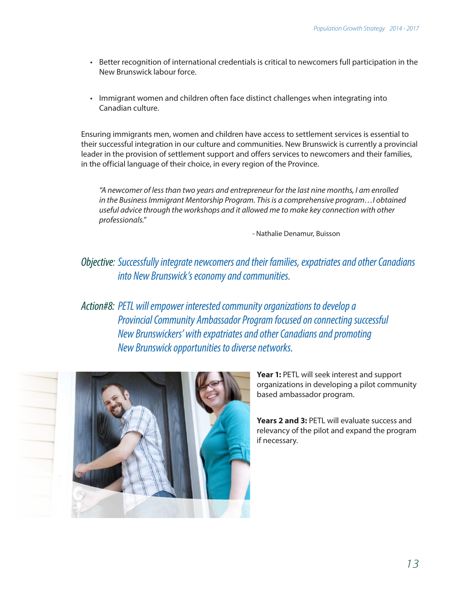- Better recognition of international credentials is critical to newcomers full participation in the New Brunswick labour force.
- Immigrant women and children often face distinct challenges when integrating into Canadian culture.

Ensuring immigrants men, women and children have access to settlement services is essential to their successful integration in our culture and communities. New Brunswick is currently a provincial leader in the provision of settlement support and offers services to newcomers and their families, in the official language of their choice, in every region of the Province.

*"A newcomer of less than two years and entrepreneur for the last nine months, I am enrolled in the Business Immigrant Mentorship Program. This is a comprehensive program…I obtained useful advice through the workshops and it allowed me to make key connection with other professionals."*

- Nathalie Denamur, Buisson

#### *Objective: Successfully integrate newcomers and their families, expatriates and other Canadians into New Brunswick's economy and communities.*

*Action#8: PETL will empower interested community organizations to develop a Provincial Community Ambassador Program focused on connecting successful New Brunswickers' with expatriates and other Canadians and promoting New Brunswick opportunities to diverse networks.*



**Year 1:** PETL will seek interest and support organizations in developing a pilot community based ambassador program.

**Years 2 and 3:** PETL will evaluate success and relevancy of the pilot and expand the program if necessary.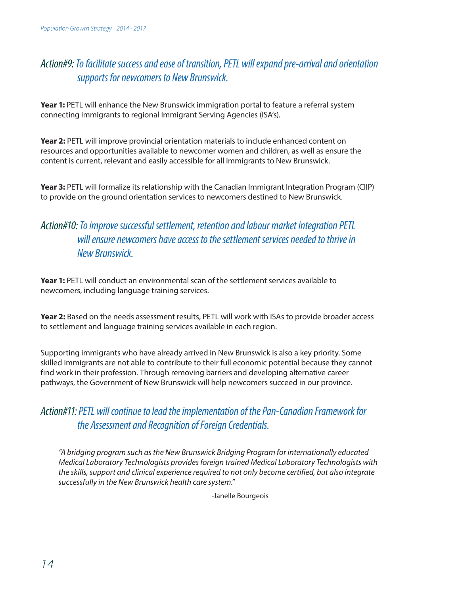### *Action#9: To facilitate success and ease of transition, PETL will expand pre-arrival and orientation supports for newcomers to New Brunswick.*

**Year 1:** PETL will enhance the New Brunswick immigration portal to feature a referral system connecting immigrants to regional Immigrant Serving Agencies (ISA's).

**Year 2:** PETL will improve provincial orientation materials to include enhanced content on resources and opportunities available to newcomer women and children, as well as ensure the content is current, relevant and easily accessible for all immigrants to New Brunswick.

**Year 3:** PETL will formalize its relationship with the Canadian Immigrant Integration Program (CIIP) to provide on the ground orientation services to newcomers destined to New Brunswick.

#### *Action#10: To improve successful settlement, retention and labour market integration PETL will ensure newcomers have access to the settlement services needed to thrive in New Brunswick.*

**Year 1:** PETL will conduct an environmental scan of the settlement services available to newcomers, including language training services.

**Year 2:** Based on the needs assessment results, PETL will work with ISAs to provide broader access to settlement and language training services available in each region.

Supporting immigrants who have already arrived in New Brunswick is also a key priority. Some skilled immigrants are not able to contribute to their full economic potential because they cannot find work in their profession. Through removing barriers and developing alternative career pathways, the Government of New Brunswick will help newcomers succeed in our province.

#### *Action#11: PETL will continue to lead the implementation of the Pan-Canadian Framework for the Assessment and Recognition of Foreign Credentials.*

*"A bridging program such as the New Brunswick Bridging Program for internationally educated Medical Laboratory Technologists provides foreign trained Medical Laboratory Technologists with the skills, support and clinical experience required to not only become certified, but also integrate successfully in the New Brunswick health care system."*

-Janelle Bourgeois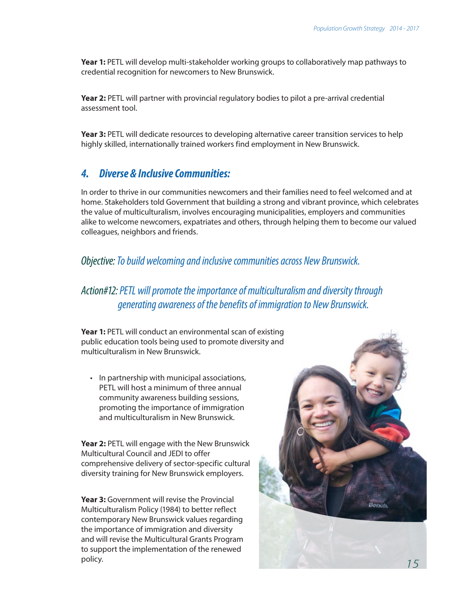<span id="page-20-0"></span>**Year 1:** PETL will develop multi-stakeholder working groups to collaboratively map pathways to credential recognition for newcomers to New Brunswick.

**Year 2:** PETL will partner with provincial regulatory bodies to pilot a pre-arrival credential assessment tool.

**Year 3:** PETL will dedicate resources to developing alternative career transition services to help highly skilled, internationally trained workers find employment in New Brunswick.

#### *4. Diverse & InclusiveCommunities:*

In order to thrive in our communities newcomers and their families need to feel welcomed and at home. Stakeholders told Government that building a strong and vibrant province, which celebrates the value of multiculturalism, involves encouraging municipalities, employers and communities alike to welcome newcomers, expatriates and others, through helping them to become our valued colleagues, neighbors and friends.

#### *Objective: To build welcoming and inclusive communities across New Brunswick.*

#### *Action#12: PETL will promote the importance of multiculturalism and diversity through generating awareness of the benefits of immigration to New Brunswick.*

**Year 1:** PETL will conduct an environmental scan of existing public education tools being used to promote diversity and multiculturalism in New Brunswick.

• In partnership with municipal associations, PETL will host a minimum of three annual community awareness building sessions, promoting the importance of immigration and multiculturalism in New Brunswick.

**Year 2:** PETL will engage with the New Brunswick Multicultural Council and JEDI to offer comprehensive delivery of sector-specific cultural diversity training for New Brunswick employers.

**Year 3:** Government will revise the Provincial Multiculturalism Policy (1984) to better reflect contemporary New Brunswick values regarding the importance of immigration and diversity and will revise the Multicultural Grants Program to support the implementation of the renewed policy.

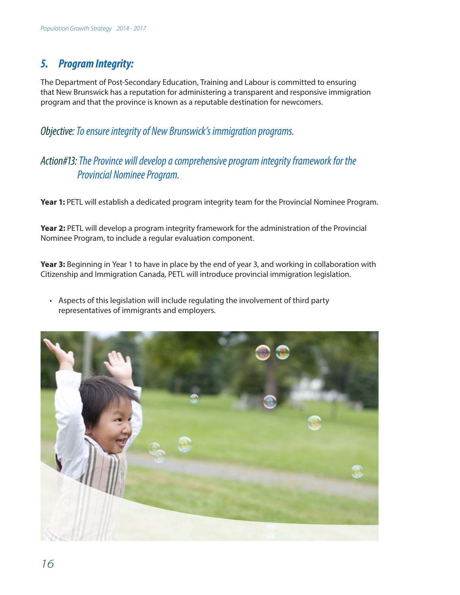### <span id="page-21-0"></span>*5. ProgramIntegrity:*

The Department of Post-Secondary Education, Training and Labour is committed to ensuring that New Brunswick has a reputation for administering a transparent and responsive immigration program and that the province is known as a reputable destination for newcomers.

*Objective: To ensure integrity of New Brunswick's immigration programs.*

#### *Action#13: The Province will develop a comprehensive program integrity framework for the Provincial Nominee Program.*

Year 1: PETL will establish a dedicated program integrity team for the Provincial Nominee Program.

**Year 2:** PETL will develop a program integrity framework for the administration of the Provincial Nominee Program, to include a regular evaluation component.

**Year 3:** Beginning in Year 1 to have in place by the end of year 3, and working in collaboration with Citizenship and Immigration Canada, PETL will introduce provincial immigration legislation.

• Aspects of this legislation will include regulating the involvement of third party representatives of immigrants and employers.

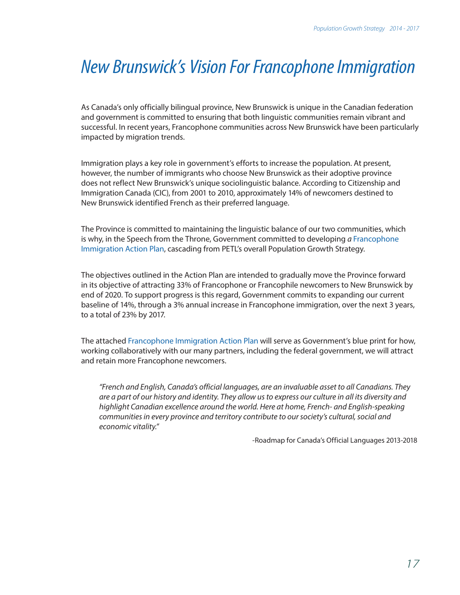## <span id="page-22-0"></span>*New Brunswick's Vision For Francophone Immigration*

As Canada's only officially bilingual province, New Brunswick is unique in the Canadian federation and government is committed to ensuring that both linguistic communities remain vibrant and successful. In recent years, Francophone communities across New Brunswick have been particularly impacted by migration trends.

Immigration plays a key role in government's efforts to increase the population. At present, however, the number of immigrants who choose New Brunswick as their adoptive province does not reflect New Brunswick's unique sociolinguistic balance. According to Citizenship and Immigration Canada (CIC), from 2001 to 2010, approximately 14% of newcomers destined to New Brunswick identified French as their preferred language.

The Province is committed to maintaining the linguistic balance of our two communities, which is why, in the Speech from the Throne, Government committed to developing *a* Francophone Immigration Action Plan, cascading from PETL's overall Population Growth Strategy.

The objectives outlined in the Action Plan are intended to gradually move the Province forward in its objective of attracting 33% of Francophone or Francophile newcomers to New Brunswick by end of 2020. To support progress is this regard, Government commits to expanding our current baseline of 14%, through a 3% annual increase in Francophone immigration, over the next 3 years, to a total of 23% by 2017.

The attached Francophone Immigration Action Plan will serve as Government's blue print for how, working collaboratively with our many partners, including the federal government, we will attract and retain more Francophone newcomers.

*"French and English, Canada's official languages, are an invaluable asset to all Canadians. They are a part of our history and identity. They allow us to express our culture in all its diversity and highlight Canadian excellence around the world. Here at home, French- and English-speaking communities in every province and territory contribute to our society's cultural, social and economic vitality."*

-Roadmap for Canada's Official Languages 2013-2018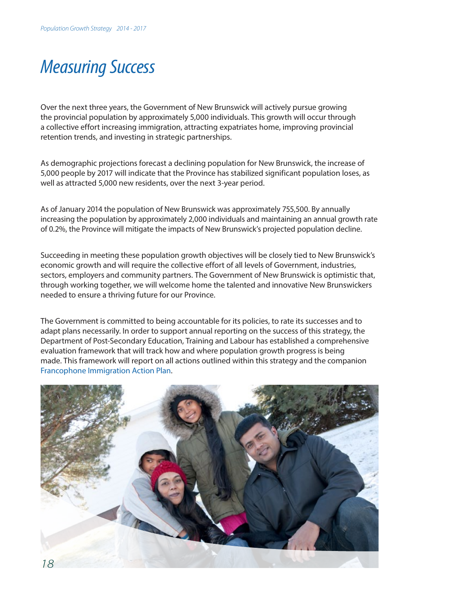### <span id="page-23-0"></span>*Measuring Success*

Over the next three years, the Government of New Brunswick will actively pursue growing the provincial population by approximately 5,000 individuals. This growth will occur through a collective effort increasing immigration, attracting expatriates home, improving provincial retention trends, and investing in strategic partnerships.

As demographic projections forecast a declining population for New Brunswick, the increase of 5,000 people by 2017 will indicate that the Province has stabilized significant population loses, as well as attracted 5,000 new residents, over the next 3-year period.

As of January 2014 the population of New Brunswick was approximately 755,500. By annually increasing the population by approximately 2,000 individuals and maintaining an annual growth rate of 0.2%, the Province will mitigate the impacts of New Brunswick's projected population decline.

Succeeding in meeting these population growth objectives will be closely tied to New Brunswick's economic growth and will require the collective effort of all levels of Government, industries, sectors, employers and community partners. The Government of New Brunswick is optimistic that, through working together, we will welcome home the talented and innovative New Brunswickers needed to ensure a thriving future for our Province.

The Government is committed to being accountable for its policies, to rate its successes and to adapt plans necessarily. In order to support annual reporting on the success of this strategy, the Department of Post-Secondary Education, Training and Labour has established a comprehensive evaluation framework that will track how and where population growth progress is being made. This framework will report on all actions outlined within this strategy and the companion Francophone Immigration Action Plan.

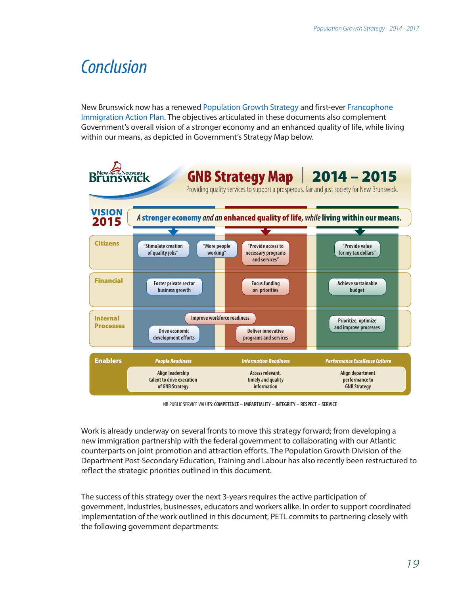### <span id="page-24-0"></span>*Conclusion*

New Brunswick now has a renewed Population Growth Strategy and first-ever Francophone Immigration Action Plan. The objectives articulated in these documents also complement Government's overall vision of a stronger economy and an enhanced quality of life, while living within our means, as depicted in Government's Strategy Map below.



NB PUBLIC SERVICE VALUES: **COMPETENCE – IMPARTIALITY – INTEGRITY – RESPECT – SERVICE**

Work is already underway on several fronts to move this strategy forward; from developing a new immigration partnership with the federal government to collaborating with our Atlantic counterparts on joint promotion and attraction efforts. The Population Growth Division of the Department Post-Secondary Education, Training and Labour has also recently been restructured to reflect the strategic priorities outlined in this document.

The success of this strategy over the next 3-years requires the active participation of government, industries, businesses, educators and workers alike. In order to support coordinated implementation of the work outlined in this document, PETL commits to partnering closely with the following government departments: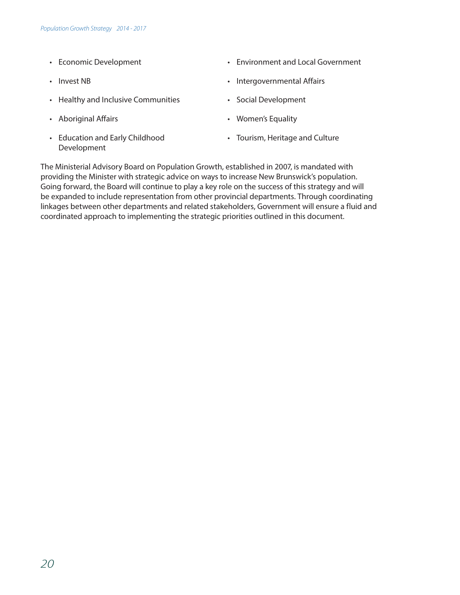- Economic Development
- Invest NB
- Healthy and Inclusive Communities
- Aboriginal Affairs
- Education and Early Childhood Development
- Environment and Local Government
- Intergovernmental Affairs
- Social Development
- Women's Equality
- Tourism, Heritage and Culture

The Ministerial Advisory Board on Population Growth, established in 2007, is mandated with providing the Minister with strategic advice on ways to increase New Brunswick's population. Going forward, the Board will continue to play a key role on the success of this strategy and will be expanded to include representation from other provincial departments. Through coordinating linkages between other departments and related stakeholders, Government will ensure a fluid and coordinated approach to implementing the strategic priorities outlined in this document.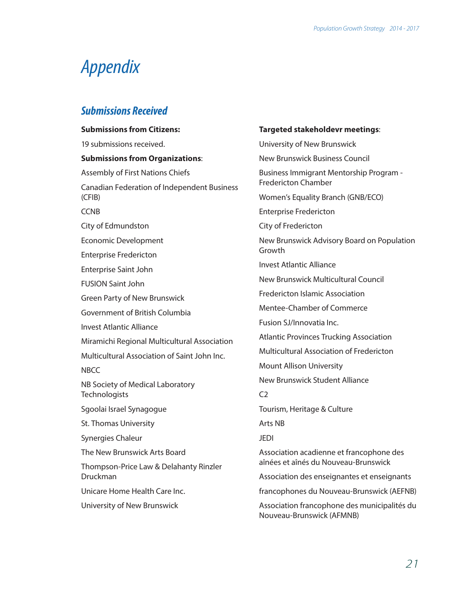## <span id="page-26-0"></span>*Appendix*

#### *Submissions Received*

| <b>Submissions from Citizens:</b>                     |
|-------------------------------------------------------|
| 19 submissions received.                              |
| <b>Submissions from Organizations:</b>                |
| <b>Assembly of First Nations Chiefs</b>               |
| Canadian Federation of Independent Business<br>(CFIB) |
| <b>CCNB</b>                                           |
| City of Edmundston                                    |
| <b>Economic Development</b>                           |
| <b>Enterprise Fredericton</b>                         |
| Enterprise Saint John                                 |
| <b>FUSION Saint John</b>                              |
| <b>Green Party of New Brunswick</b>                   |
| Government of British Columbia                        |
| <b>Invest Atlantic Alliance</b>                       |
| Miramichi Regional Multicultural Association          |
| Multicultural Association of Saint John Inc.          |
| <b>NBCC</b>                                           |
| NB Society of Medical Laboratory<br>Technologists     |
| Sgoolai Israel Synagogue                              |
| St. Thomas University                                 |
| Synergies Chaleur                                     |
| The New Brunswick Arts Board                          |
| Thompson-Price Law & Delahanty Rinzler<br>Druckman    |
| Unicare Home Health Care Inc.                         |
| University of New Brunswick                           |
|                                                       |

#### **Targeted stakeholdevr meetings**:

University of New Brunswick New Brunswick Business Council Business Immigrant Mentorship Program - Fredericton Chamber Women's Equality Branch (GNB/ECO) Enterprise Fredericton City of Fredericton New Brunswick Advisory Board on Population Growth Invest Atlantic Alliance New Brunswick Multicultural Council Fredericton Islamic Association Mentee-Chamber of Commerce Fusion SJ/Innovatia Inc. Atlantic Provinces Trucking Association Multicultural Association of Fredericton Mount Allison University New Brunswick Student Alliance  $C<sub>2</sub>$ Tourism, Heritage & Culture Arts NB JEDI Association acadienne et francophone des aînées et aînés du Nouveau-Brunswick Association des enseignantes et enseignants francophones du Nouveau-Brunswick (AEFNB) Association francophone des municipalités du Nouveau-Brunswick (AFMNB)